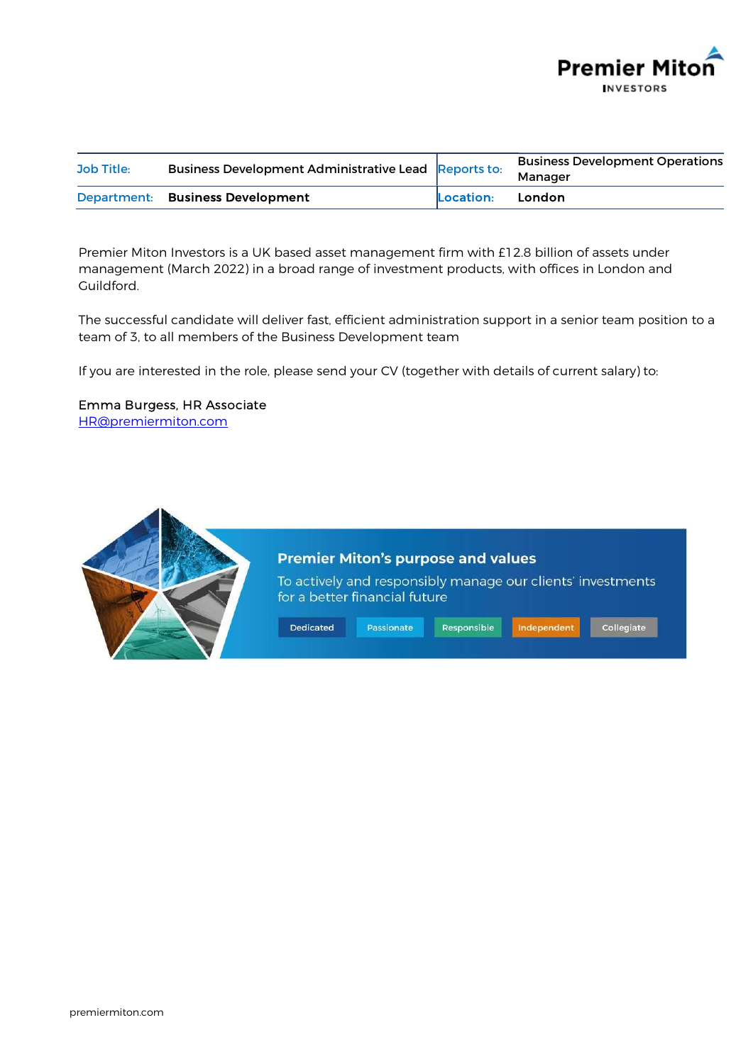

| Job Title: | Business Development Administrative Lead Reports to: |           | <b>Business Development Operations</b><br>Manager |
|------------|------------------------------------------------------|-----------|---------------------------------------------------|
|            | Department: Business Development                     | Location: | London                                            |

Premier Miton Investors is a UK based asset management firm with £12.8 billion of assets under management (March 2022) in a broad range of investment products, with offices in London and Guildford.

The successful candidate will deliver fast, efficient administration support in a senior team position to a team of 3, to all members of the Business Development team

If you are interested in the role, please send your CV (together with details of current salary) to:

# Emma Burgess, HR Associate



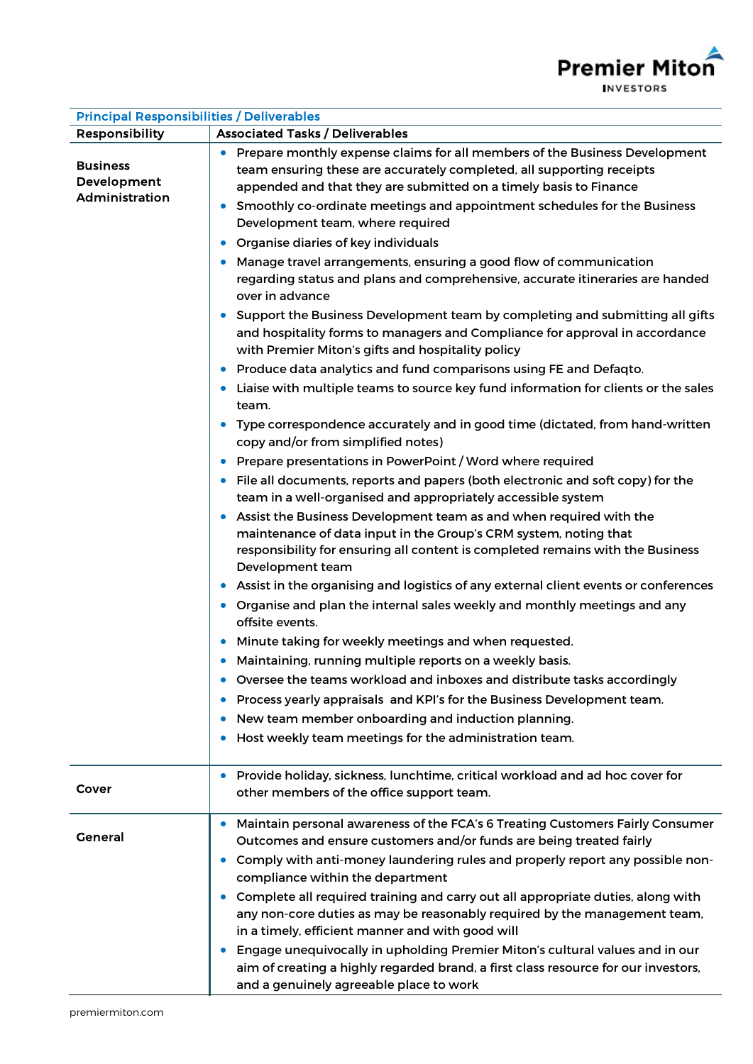

| <b>Principal Responsibilities / Deliverables</b>                |                                                                                                                                                                                                                                                                                                      |  |  |  |
|-----------------------------------------------------------------|------------------------------------------------------------------------------------------------------------------------------------------------------------------------------------------------------------------------------------------------------------------------------------------------------|--|--|--|
| <b>Responsibility</b><br><b>Associated Tasks / Deliverables</b> |                                                                                                                                                                                                                                                                                                      |  |  |  |
| <b>Business</b><br>Development<br>Administration                | Prepare monthly expense claims for all members of the Business Development<br>team ensuring these are accurately completed, all supporting receipts<br>appended and that they are submitted on a timely basis to Finance<br>Smoothly co-ordinate meetings and appointment schedules for the Business |  |  |  |
|                                                                 | Development team, where required<br>Organise diaries of key individuals                                                                                                                                                                                                                              |  |  |  |
|                                                                 | $\bullet$                                                                                                                                                                                                                                                                                            |  |  |  |
|                                                                 | Manage travel arrangements, ensuring a good flow of communication<br>regarding status and plans and comprehensive, accurate itineraries are handed<br>over in advance                                                                                                                                |  |  |  |
|                                                                 | Support the Business Development team by completing and submitting all gifts<br>and hospitality forms to managers and Compliance for approval in accordance<br>with Premier Miton's gifts and hospitality policy                                                                                     |  |  |  |
|                                                                 | Produce data analytics and fund comparisons using FE and Defaqto.<br>$\bullet$                                                                                                                                                                                                                       |  |  |  |
|                                                                 | Liaise with multiple teams to source key fund information for clients or the sales<br>team.                                                                                                                                                                                                          |  |  |  |
|                                                                 | Type correspondence accurately and in good time (dictated, from hand-written<br>$\bullet$<br>copy and/or from simplified notes)                                                                                                                                                                      |  |  |  |
|                                                                 | Prepare presentations in PowerPoint / Word where required                                                                                                                                                                                                                                            |  |  |  |
|                                                                 | File all documents, reports and papers (both electronic and soft copy) for the<br>team in a well-organised and appropriately accessible system                                                                                                                                                       |  |  |  |
|                                                                 | Assist the Business Development team as and when required with the<br>maintenance of data input in the Group's CRM system, noting that<br>responsibility for ensuring all content is completed remains with the Business<br>Development team                                                         |  |  |  |
|                                                                 | Assist in the organising and logistics of any external client events or conferences                                                                                                                                                                                                                  |  |  |  |
|                                                                 | Organise and plan the internal sales weekly and monthly meetings and any<br>offsite events.                                                                                                                                                                                                          |  |  |  |
|                                                                 | Minute taking for weekly meetings and when requested.                                                                                                                                                                                                                                                |  |  |  |
|                                                                 | Maintaining, running multiple reports on a weekly basis.                                                                                                                                                                                                                                             |  |  |  |
|                                                                 | Oversee the teams workload and inboxes and distribute tasks accordingly<br>$\bullet$                                                                                                                                                                                                                 |  |  |  |
|                                                                 | Process yearly appraisals and KPI's for the Business Development team.                                                                                                                                                                                                                               |  |  |  |
|                                                                 | New team member onboarding and induction planning.                                                                                                                                                                                                                                                   |  |  |  |
|                                                                 | Host weekly team meetings for the administration team.                                                                                                                                                                                                                                               |  |  |  |
| Cover                                                           | Provide holiday, sickness, lunchtime, critical workload and ad hoc cover for<br>other members of the office support team.                                                                                                                                                                            |  |  |  |
| <b>General</b>                                                  | Maintain personal awareness of the FCA's 6 Treating Customers Fairly Consumer<br>Outcomes and ensure customers and/or funds are being treated fairly                                                                                                                                                 |  |  |  |
|                                                                 | Comply with anti-money laundering rules and properly report any possible non-<br>compliance within the department                                                                                                                                                                                    |  |  |  |
|                                                                 | Complete all required training and carry out all appropriate duties, along with<br>any non-core duties as may be reasonably required by the management team,<br>in a timely, efficient manner and with good will                                                                                     |  |  |  |
|                                                                 | Engage unequivocally in upholding Premier Miton's cultural values and in our<br>aim of creating a highly regarded brand, a first class resource for our investors,<br>and a genuinely agreeable place to work                                                                                        |  |  |  |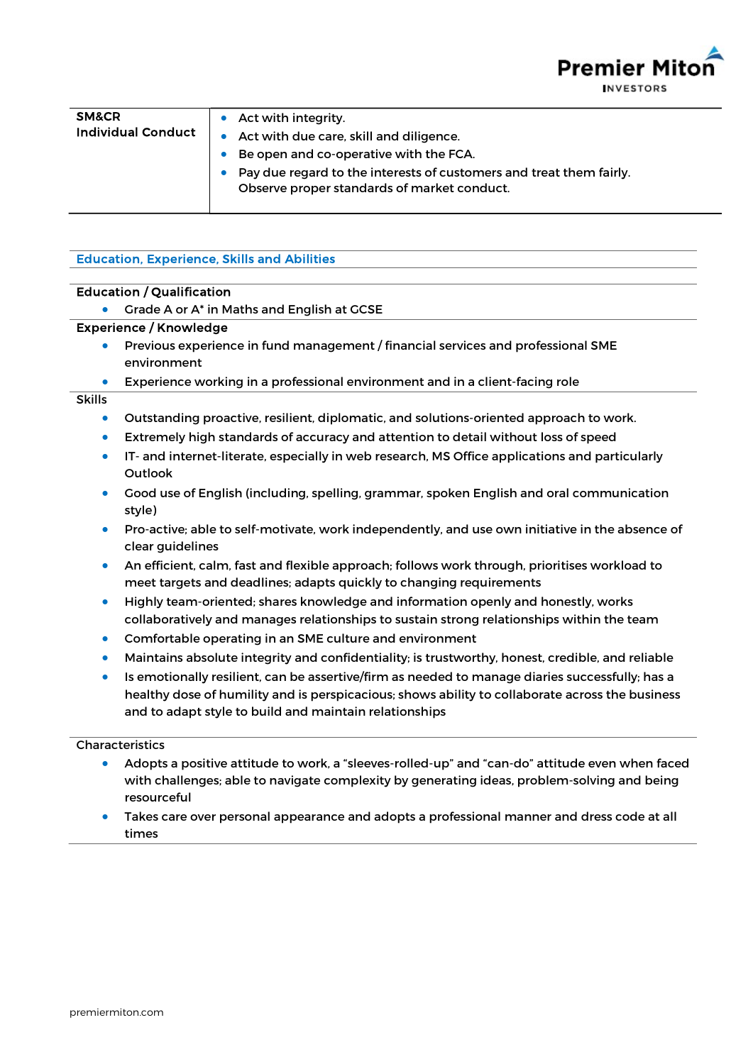**Premier Mit INVESTORS** 

| <b>SM&amp;CR</b><br><b>Individual Conduct</b> | Act with integrity.<br>Act with due care, skill and diligence.<br>Be open and co-operative with the FCA.<br>Pay due regard to the interests of customers and treat them fairly.<br>Observe proper standards of market conduct. |
|-----------------------------------------------|--------------------------------------------------------------------------------------------------------------------------------------------------------------------------------------------------------------------------------|
|-----------------------------------------------|--------------------------------------------------------------------------------------------------------------------------------------------------------------------------------------------------------------------------------|

# Education, Experience, Skills and Abilities

### Education / Qualification

**Crade A or A<sup>\*</sup> in Maths and English at GCSE** 

## Experience / Knowledge

- Previous experience in fund management / financial services and professional SME environment
- Experience working in a professional environment and in a client-facing role

### Skills

- Outstanding proactive, resilient, diplomatic, and solutions-oriented approach to work.
- Extremely high standards of accuracy and attention to detail without loss of speed
- IT- and internet-literate, especially in web research, MS Office applications and particularly **Outlook**
- Good use of English (including, spelling, grammar, spoken English and oral communication style)
- Pro-active; able to self-motivate, work independently, and use own initiative in the absence of clear guidelines
- An efficient, calm, fast and flexible approach; follows work through, prioritises workload to meet targets and deadlines; adapts quickly to changing requirements
- Highly team-oriented; shares knowledge and information openly and honestly, works collaboratively and manages relationships to sustain strong relationships within the team
- Comfortable operating in an SME culture and environment
- Maintains absolute integrity and confidentiality; is trustworthy, honest, credible, and reliable
- Is emotionally resilient, can be assertive/firm as needed to manage diaries successfully; has a healthy dose of humility and is perspicacious; shows ability to collaborate across the business and to adapt style to build and maintain relationships

### Characteristics

- Adopts a positive attitude to work, a "sleeves-rolled-up" and "can-do" attitude even when faced with challenges; able to navigate complexity by generating ideas, problem-solving and being resourceful
- Takes care over personal appearance and adopts a professional manner and dress code at all times